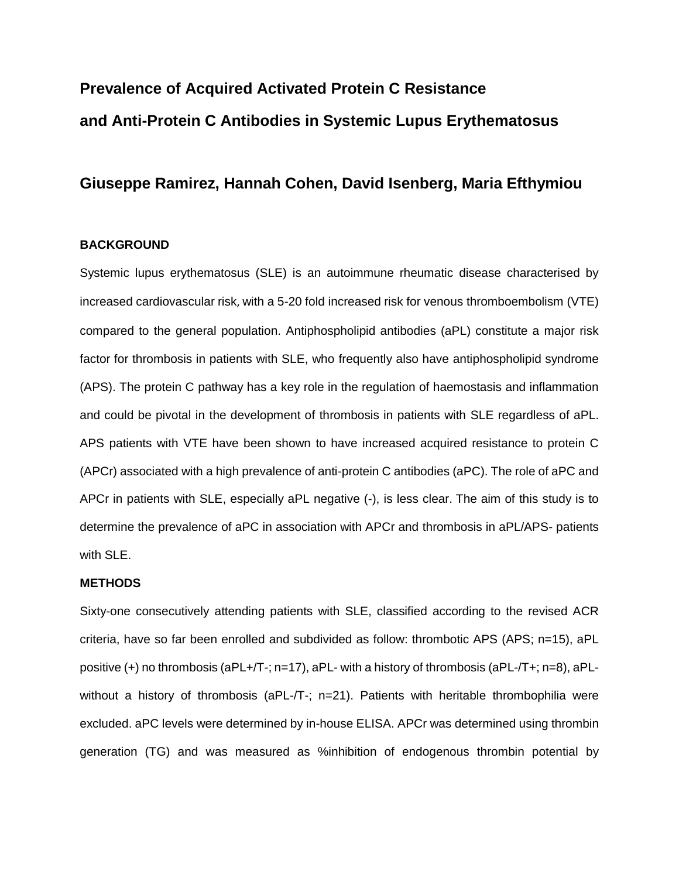# **Prevalence of Acquired Activated Protein C Resistance and Anti-Protein C Antibodies in Systemic Lupus Erythematosus**

# **Giuseppe Ramirez, Hannah Cohen, David Isenberg, Maria Efthymiou**

# **BACKGROUND**

Systemic lupus erythematosus (SLE) is an autoimmune rheumatic disease characterised by increased cardiovascular risk, with a 5-20 fold increased risk for venous thromboembolism (VTE) compared to the general population. Antiphospholipid antibodies (aPL) constitute a major risk factor for thrombosis in patients with SLE, who frequently also have antiphospholipid syndrome (APS). The protein C pathway has a key role in the regulation of haemostasis and inflammation and could be pivotal in the development of thrombosis in patients with SLE regardless of aPL. APS patients with VTE have been shown to have increased acquired resistance to protein C (APCr) associated with a high prevalence of anti-protein C antibodies (aPC). The role of aPC and APCr in patients with SLE, especially aPL negative (-), is less clear. The aim of this study is to determine the prevalence of aPC in association with APCr and thrombosis in aPL/APS- patients with SLE.

#### **METHODS**

Sixty-one consecutively attending patients with SLE, classified according to the revised ACR criteria, have so far been enrolled and subdivided as follow: thrombotic APS (APS; n=15), aPL positive (+) no thrombosis (aPL+/T-; n=17), aPL- with a history of thrombosis (aPL-/T+; n=8), aPLwithout a history of thrombosis (aPL-/T-; n=21). Patients with heritable thrombophilia were excluded. aPC levels were determined by in-house ELISA. APCr was determined using thrombin generation (TG) and was measured as %inhibition of endogenous thrombin potential by